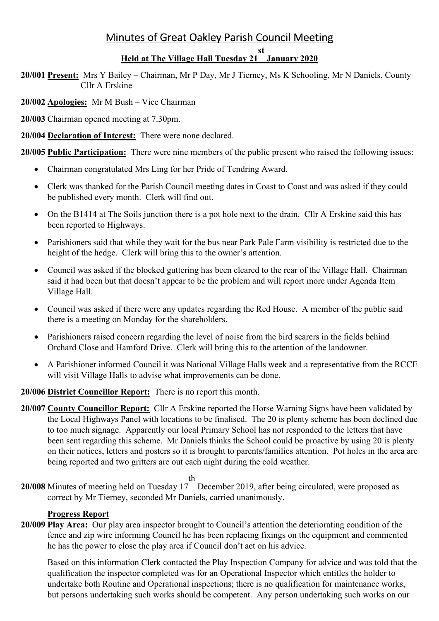# Minutes of Great Oakley Parish Council Meeting

# **Held at The Village Hall Tuesday 21 January 2020**

**st**

**20/001 Present:** Mrs Y Bailey – Chairman, Mr P Day, Mr J Tierney, Ms K Schooling, Mr N Daniels, County Cllr A Erskine

**20/002 Apologies:** Mr M Bush – Vice Chairman

**20/003** Chairman opened meeting at 7.30pm.

**20/004 Declaration of Interest:** There were none declared.

**20/005 Public Participation:** There were nine members of the public present who raised the following issues:

- Chairman congratulated Mrs Ling for her Pride of Tendring Award.
- Clerk was thanked for the Parish Council meeting dates in Coast to Coast and was asked if they could be published every month. Clerk will find out.
- On the B1414 at The Soils junction there is a pot hole next to the drain. Cllr A Erskine said this has been reported to Highways.
- Parishioners said that while they wait for the bus near Park Pale Farm visibility is restricted due to the height of the hedge. Clerk will bring this to the owner's attention.
- Council was asked if the blocked guttering has been cleared to the rear of the Village Hall. Chairman said it had been but that doesn't appear to be the problem and will report more under Agenda Item Village Hall.
- Council was asked if there were any updates regarding the Red House. A member of the public said there is a meeting on Monday for the shareholders.
- Parishioners raised concern regarding the level of noise from the bird scarers in the fields behind Orchard Close and Hamford Drive. Clerk will bring this to the attention of the landowner.
- A Parishioner informed Council it was National Village Halls week and a representative from the RCCE will visit Village Halls to advise what improvements can be done.

**20/006 District Councillor Report:** There is no report this month.

- **20/007 County Councillor Report:** Cllr A Erskine reported the Horse Warning Signs have been validated by the Local Highways Panel with locations to be finalised. The 20 is plenty scheme has been declined due to too much signage. Apparently our local Primary School has not responded to the letters that have been sent regarding this scheme. Mr Daniels thinks the School could be proactive by using 20 is plenty on their notices, letters and posters so it is brought to parents/families attention. Pot holes in the area are being reported and two gritters are out each night during the cold weather.
- **20/008** Minutes of meeting held on Tuesday 17 th December 2019, after being circulated, were proposed as correct by Mr Tierney, seconded Mr Daniels, carried unanimously.

## **Progress Report**

**20/009 Play Area:** Our play area inspector brought to Council's attention the deteriorating condition of the fence and zip wire informing Council he has been replacing fixings on the equipment and commented he has the power to close the play area if Council don't act on his advice.

Based on this information Clerk contacted the Play Inspection Company for advice and was told that the qualification the inspector completed was for an Operational Inspector which entitles the holder to undertake both Routine and Operational inspections; there is no qualification for maintenance works, but persons undertaking such works should be competent. Any person undertaking such works on our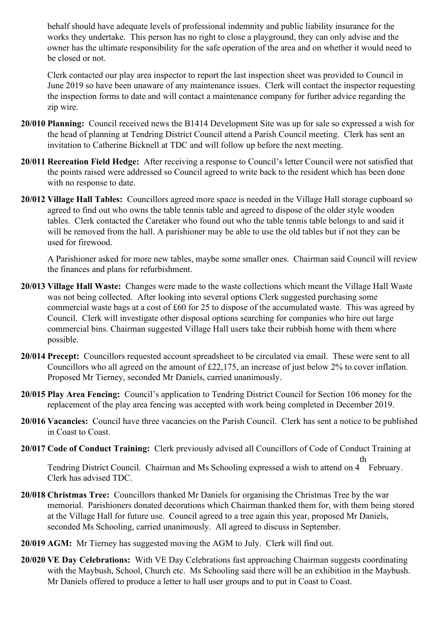behalf should have adequate levels of professional indemnity and public liability insurance for the works they undertake. This person has no right to close a playground, they can only advise and the owner has the ultimate responsibility for the safe operation of the area and on whether it would need to be closed or not.

 Clerk contacted our play area inspector to report the last inspection sheet was provided to Council in June 2019 so have been unaware of any maintenance issues. Clerk will contact the inspector requesting the inspection forms to date and will contact a maintenance company for further advice regarding the zip wire.

- **20/010 Planning:** Council received news the B1414 Development Site was up for sale so expressed a wish for the head of planning at Tendring District Council attend a Parish Council meeting. Clerk has sent an invitation to Catherine Bicknell at TDC and will follow up before the next meeting.
- **20/011 Recreation Field Hedge:** After receiving a response to Council's letter Council were not satisfied that the points raised were addressed so Council agreed to write back to the resident which has been done with no response to date.
- **20/012 Village Hall Tables:** Councillors agreed more space is needed in the Village Hall storage cupboard so agreed to find out who owns the table tennis table and agreed to dispose of the older style wooden tables. Clerk contacted the Caretaker who found out who the table tennis table belongs to and said it will be removed from the hall. A parishioner may be able to use the old tables but if not they can be used for firewood.

A Parishioner asked for more new tables, maybe some smaller ones. Chairman said Council will review the finances and plans for refurbishment.

- **20/013 Village Hall Waste:** Changes were made to the waste collections which meant the Village Hall Waste was not being collected. After looking into several options Clerk suggested purchasing some commercial waste bags at a cost of £60 for 25 to dispose of the accumulated waste. This was agreed by Council. Clerk will investigate other disposal options searching for companies who hire out large commercial bins. Chairman suggested Village Hall users take their rubbish home with them where possible.
- **20/014 Precept:** Councillors requested account spreadsheet to be circulated via email. These were sent to all Councillors who all agreed on the amount of £22,175, an increase of just below 2% to cover inflation. Proposed Mr Tierney, seconded Mr Daniels, carried unanimously.
- **20/015 Play Area Fencing:** Council's application to Tendring District Council for Section 106 money for the replacement of the play area fencing was accepted with work being completed in December 2019.
- **20/016 Vacancies:** Council have three vacancies on the Parish Council. Clerk has sent a notice to be published in Coast to Coast.
- **20/017 Code of Conduct Training:** Clerk previously advised all Councillors of Code of Conduct Training at

Tendring District Council. Chairman and Ms Schooling expressed a wish to attend on 4 th February. Clerk has advised TDC.

- **20/018 Christmas Tree:** Councillors thanked Mr Daniels for organising the Christmas Tree by the war memorial. Parishioners donated decorations which Chairman thanked them for, with them being stored at the Village Hall for future use. Council agreed to a tree again this year, proposed Mr Daniels, seconded Ms Schooling, carried unanimously. All agreed to discuss in September.
- **20/019 AGM:** Mr Tierney has suggested moving the AGM to July. Clerk will find out.
- **20/020 VE Day Celebrations:** With VE Day Celebrations fast approaching Chairman suggests coordinating with the Maybush, School, Church etc. Ms Schooling said there will be an exhibition in the Maybush. Mr Daniels offered to produce a letter to hall user groups and to put in Coast to Coast.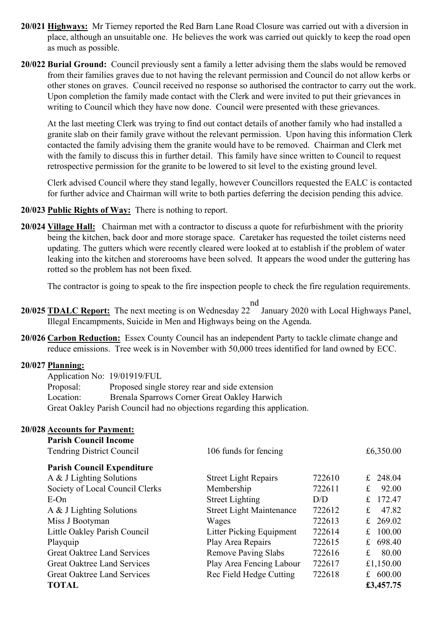- **20/021 Highways:** Mr Tierney reported the Red Barn Lane Road Closure was carried out with a diversion in place, although an unsuitable one. He believes the work was carried out quickly to keep the road open as much as possible.
- **20/022 Burial Ground:** Council previously sent a family a letter advising them the slabs would be removed from their families graves due to not having the relevant permission and Council do not allow kerbs or other stones on graves. Council received no response so authorised the contractor to carry out the work. Upon completion the family made contact with the Clerk and were invited to put their grievances in writing to Council which they have now done. Council were presented with these grievances.

At the last meeting Clerk was trying to find out contact details of another family who had installed a granite slab on their family grave without the relevant permission. Upon having this information Clerk contacted the family advising them the granite would have to be removed. Chairman and Clerk met with the family to discuss this in further detail. This family have since written to Council to request retrospective permission for the granite to be lowered to sit level to the existing ground level.

 Clerk advised Council where they stand legally, however Councillors requested the EALC is contacted for further advice and Chairman will write to both parties deferring the decision pending this advice.

- **20/023 Public Rights of Way:** There is nothing to report.
- **20/024 Village Hall:** Chairman met with a contractor to discuss a quote for refurbishment with the priority being the kitchen, back door and more storage space. Caretaker has requested the toilet cisterns need updating. The gutters which were recently cleared were looked at to establish if the problem of water leaking into the kitchen and storerooms have been solved. It appears the wood under the guttering has rotted so the problem has not been fixed.

The contractor is going to speak to the fire inspection people to check the fire regulation requirements.

- **20/025 TDALC Report:** The next meeting is on Wednesday 22 nd January 2020 with Local Highways Panel, Illegal Encampments, Suicide in Men and Highways being on the Agenda.
- **20/026 Carbon Reduction:** Essex County Council has an independent Party to tackle climate change and reduce emissions. Tree week is in November with 50,000 trees identified for land owned by ECC.

#### **20/027 Planning:**

 Application No: 19/01919/FUL Proposal: Proposed single storey rear and side extension Location: Brenala Sparrows Corner Great Oakley Harwich Great Oakley Parish Council had no objections regarding this application.

### **20/028 Accounts for Payment:**

| <b>Parish Council Income</b><br><b>Tendring District Council</b> | 106 funds for fencing           |        | £6,350.00    |
|------------------------------------------------------------------|---------------------------------|--------|--------------|
| <b>Parish Council Expenditure</b>                                |                                 |        |              |
| A & J Lighting Solutions                                         | <b>Street Light Repairs</b>     | 722610 | £ 248.04     |
| Society of Local Council Clerks                                  | Membership                      | 722611 | 92.00<br>£   |
| $E$ -On                                                          | <b>Street Lighting</b>          | D/D    | 172.47<br>£. |
| A & J Lighting Solutions                                         | <b>Street Light Maintenance</b> | 722612 | 47.82<br>£   |
| Miss J Bootyman                                                  | Wages                           | 722613 | 269.02<br>£  |
| Little Oakley Parish Council                                     | Litter Picking Equipment        | 722614 | 100.00<br>£  |
| Playquip                                                         | Play Area Repairs               | 722615 | 698.40<br>£  |
| <b>Great Oaktree Land Services</b>                               | <b>Remove Paving Slabs</b>      | 722616 | 80.00<br>£   |
| <b>Great Oaktree Land Services</b>                               | Play Area Fencing Labour        | 722617 | £1,150.00    |
| <b>Great Oaktree Land Services</b>                               | Rec Field Hedge Cutting         | 722618 | £ $600.00$   |
| <b>TOTAL</b>                                                     |                                 |        | £3,457.75    |
|                                                                  |                                 |        |              |